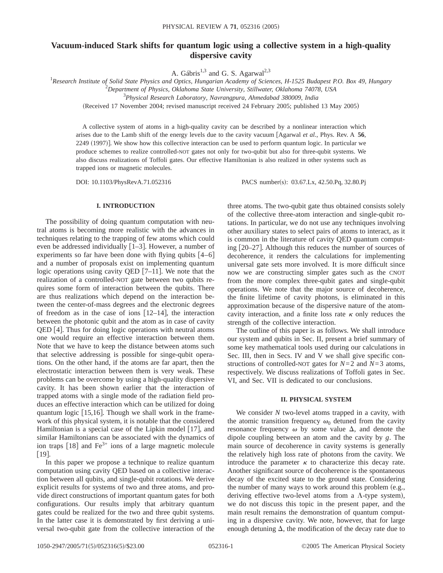# **Vacuum-induced Stark shifts for quantum logic using a collective system in a high-quality dispersive cavity**

A. Gábris<sup>1,3</sup> and G. S. Agarwal<sup>2,3</sup>

1 *Research Institute of Solid State Physics and Optics, Hungarian Academy of Sciences, H-1525 Budapest P.O. Box 49, Hungary*

2 *Department of Physics, Oklahoma State University, Stillwater, Oklahoma 74078, USA*

3 *Physical Research Laboratory, Navrangpura, Ahmedabad 380009, India*

(Received 17 November 2004; revised manuscript received 24 February 2005; published 13 May 2005)

A collective system of atoms in a high-quality cavity can be described by a nonlinear interaction which arises due to the Lamb shift of the energy levels due to the cavity vacuum fAgarwal *et al.*, Phys. Rev. A **56**, 2249 (1997)]. We show how this collective interaction can be used to perform quantum logic. In particular we produce schemes to realize controlled-NOT gates not only for two-qubit but also for three-qubit systems. We also discuss realizations of Toffoli gates. Our effective Hamiltonian is also realized in other systems such as trapped ions or magnetic molecules.

DOI: 10.1103/PhysRevA.71.052316 PACS number(s): 03.67.Lx, 42.50.Pq, 32.80.Pj

### **I. INTRODUCTION**

The possibility of doing quantum computation with neutral atoms is becoming more realistic with the advances in techniques relating to the trapping of few atoms which could even be addressed individually  $[1-3]$ . However, a number of experiments so far have been done with flying qubits  $[4-6]$ and a number of proposals exist on implementing quantum logic operations using cavity QED  $[7-11]$ . We note that the realization of a controlled-NOT gate between two qubits requires some form of interaction between the qubits. There are thus realizations which depend on the interaction between the center-of-mass degrees and the electronic degrees of freedom as in the case of ions  $[12-14]$ , the interaction between the photonic qubit and the atom as in case of cavity QED [4]. Thus for doing logic operations with neutral atoms one would require an effective interaction between them. Note that we have to keep the distance between atoms such that selective addressing is possible for singe-qubit operations. On the other hand, if the atoms are far apart, then the electrostatic interaction between them is very weak. These problems can be overcome by using a high-quality dispersive cavity. It has been shown earlier that the interaction of trapped atoms with a single mode of the radiation field produces an effective interaction which can be utilized for doing quantum logic  $[15,16]$ . Though we shall work in the framework of this physical system, it is notable that the considered Hamiltonian is a special case of the Lipkin model  $[17]$ , and similar Hamiltonians can be associated with the dynamics of ion traps  $[18]$  and Fe<sup>3+</sup> ions of a large magnetic molecule  $[19]$ .

In this paper we propose a technique to realize quantum computation using cavity QED based on a collective interaction between all qubits, and single-qubit rotations. We derive explicit results for systems of two and three atoms, and provide direct constructions of important quantum gates for both configurations. Our results imply that arbitrary quantum gates could be realized for the two and three qubit systems. In the latter case it is demonstrated by first deriving a universal two-qubit gate from the collective interaction of the three atoms. The two-qubit gate thus obtained consists solely of the collective three-atom interaction and single-qubit rotations. In particular, we do not use any techniques involving other auxiliary states to select pairs of atoms to interact, as it is common in the literature of cavity QED quantum computing  $[20-27]$ . Although this reduces the number of sources of decoherence, it renders the calculations for implementing universal gate sets more involved. It is more difficult since now we are constructing simpler gates such as the CNOT from the more complex three-qubit gates and single-qubit operations. We note that the major source of decoherence, the finite lifetime of cavity photons, is eliminated in this approximation because of the dispersive nature of the atomcavity interaction, and a finite loss rate  $\kappa$  only reduces the strength of the collective interaction.

The outline of this paper is as follows. We shall introduce our system and qubits in Sec. II, present a brief summary of some key mathematical tools used during our calculations in Sec. III, then in Secs. IV and V we shall give specific constructions of controlled-NOT gates for *N*=2 and *N*=3 atoms, respectively. We discuss realizations of Toffoli gates in Sec. VI, and Sec. VII is dedicated to our conclusions.

# **II. PHYSICAL SYSTEM**

We consider *N* two-level atoms trapped in a cavity, with the atomic transition frequency  $\omega_0$  detuned from the cavity resonance frequency  $\omega$  by some value  $\Delta$ , and denote the dipole coupling between an atom and the cavity by *g*. The main source of decoherence in cavity systems is generally the relatively high loss rate of photons from the cavity. We introduce the parameter  $\kappa$  to characterize this decay rate. Another significant source of decoherence is the spontaneous decay of the excited state to the ground state. Considering the number of many ways to work around this problem  $(e.g.,)$ deriving effective two-level atoms from a  $\Lambda$ -type system), we do not discuss this topic in the present paper, and the main result remains the demonstration of quantum computing in a dispersive cavity. We note, however, that for large enough detuning  $\Delta$ , the modification of the decay rate due to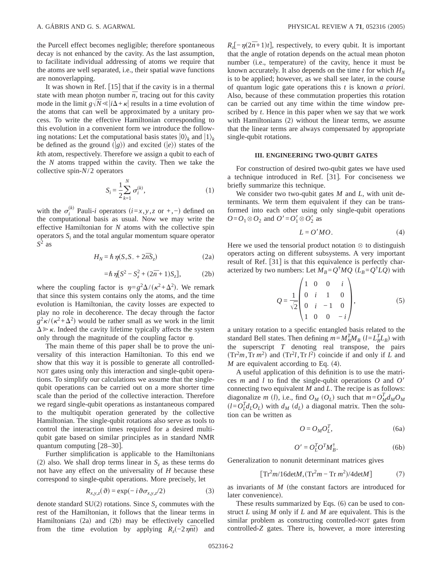the Purcell effect becomes negligible; therefore spontaneous decay is not enhanced by the cavity. As the last assumption, to facilitate individual addressing of atoms we require that the atoms are well separated, i.e., their spatial wave functions are nonoverlapping.

It was shown in Ref.  $[15]$  that if the cavity is in a thermal state with mean photon number  $\bar{n}$ , tracing out for this cavity mode in the limit  $g\sqrt{N} \le |i\Delta + \kappa|$  results in a time evolution of the atoms that can well be approximated by a unitary process. To write the effective Hamiltonian corresponding to this evolution in a convenient form we introduce the following notations: Let the computational basis states  $|0\rangle_k$  and  $|1\rangle_k$ be defined as the ground  $\langle g \rangle$  and excited  $\langle e \rangle$  states of the *k*th atom, respectively. Therefore we assign a qubit to each of the *N* atoms trapped within the cavity. Then we take the collective spin-*N*/2 operators

$$
S_i = \frac{1}{2} \sum_{k=1}^{N} \sigma_i^{(k)},
$$
\n(1)

with the  $\sigma_i^{(k)}$  Pauli-*i* operators  $(i=x, y, z \text{ or } +, -)$  defined on the computational basis as usual. Now we may write the effective Hamiltonian for *N* atoms with the collective spin operators  $S_i$  and the total angular momentum square operator  $S^2$  as

$$
H_N = \hbar \eta (S_+ S_- + 2\overline{n} S_z)
$$
 (2a)

$$
= \hbar \eta [S^2 - S_z^2 + (2\bar{n} + 1)S_z],
$$
 (2b)

where the coupling factor is  $\eta = g^2 \Delta/(\kappa^2 + \Delta^2)$ . We remark that since this system contains only the atoms, and the time evolution is Hamiltonian, the cavity losses are expected to play no role in decoherence. The decay through the factor  $g^2 \kappa / (\kappa^2 + \Delta^2)$  would be rather small as we work in the limit  $\Delta \gg \kappa$ . Indeed the cavity lifetime typically affects the system only through the magnitude of the coupling factor  $\eta$ .

The main theme of this paper shall be to prove the universality of this interaction Hamiltonian. To this end we show that this way it is possible to generate all controlled-NOT gates using only this interaction and single-qubit operations. To simplify our calculations we assume that the singlequbit operations can be carried out on a more shorter time scale than the period of the collective interaction. Therefore we regard single-qubit operations as instantaneous compared to the multiqubit operation generated by the collective Hamiltonian. The single-qubit rotations also serve as tools to control the interaction times required for a desired multiqubit gate based on similar principles as in standard NMR quantum computing  $[28-30]$ .

Further simplification is applicable to the Hamiltonians (2) also. We shall drop terms linear in  $S<sub>z</sub>$  as these terms do not have any effect on the universality of *H* because these correspond to single-qubit operations. More precisely, let

$$
R_{x,y,z}(\vartheta) = \exp(-i\vartheta \sigma_{x,y,z}/2)
$$
 (3)

denote standard  $SU(2)$  rotations. Since  $S<sub>z</sub>$  commutes with the rest of the Hamiltonian, it follows that the linear terms in Hamiltonians  $(2a)$  and  $(2b)$  may be effectively cancelled from the time evolution by applying  $R_z(-2\eta \bar{n}t)$  and

 $R_z[-\eta(2\bar{n}+1)t]$ , respectively, to every qubit. It is important that the angle of rotation depends on the actual mean photon number (i.e., temperature) of the cavity, hence it must be known accurately. It also depends on the time  $t$  for which  $H<sub>N</sub>$ is to be applied; however, as we shall see later, in the course of quantum logic gate operations this *t* is known *a priori*. Also, because of these commutation properties this rotation can be carried out any time within the time window prescribed by *t*. Hence in this paper when we say that we work with Hamiltonians  $(2)$  without the linear terms, we assume that the linear terms are always compensated by appropriate single-qubit rotations.

## **III. ENGINEERING TWO-QUBIT GATES**

For construction of desired two-qubit gates we have used a technique introduced in Ref. [31]. For conciseness we briefly summarize this technique.

We consider two two-qubit gates *M* and *L*, with unit determinants. We term them equivalent if they can be transformed into each other using only single-qubit operations  $O = O_1 \otimes O_2$  and  $O' = O_1' \otimes O_2'$  as

$$
L = O'MO.
$$
 (4)

Here we used the tensorial product notation  $\otimes$  to distinguish operators acting on different subsystems. A very important result of Ref. [31] is that this equivalence is perfectly characterized by two numbers: Let  $\overline{M}_B = Q^{\dagger} M Q$  ( $L_B = Q^{\dagger} L Q$ ) with

$$
Q = \frac{1}{\sqrt{2}} \begin{pmatrix} 1 & 0 & 0 & i \\ 0 & i & 1 & 0 \\ 0 & i & -1 & 0 \\ 1 & 0 & 0 & -i \end{pmatrix},
$$
 (5)

a unitary rotation to a specific entangled basis related to the standard Bell states. Then defining  $m = M_B^T M_B$  ( $l = L_B^T L_B$ ) with the superscript *T* denoting real transpose, the pairs  $(Tr<sup>2</sup>m, Tr m<sup>2</sup>)$  and  $(Tr<sup>2</sup>l, Tr l<sup>2</sup>)$  coincide if and only if *L* and *M* are equivalent according to Eq.  $(4)$ .

A useful application of this definition is to use the matrices *m* and *l* to find the single-qubit operations *O* and *O'* connecting two equivalent *M* and *L*. The recipe is as follows: diagonalize *m* (*l*), i.e., find  $O_M$  ( $O_L$ ) such that  $m = O_M^T d_M O_M$  $(l = O_L^T d_L O_L)$  with  $d_M$   $(d_L)$  a diagonal matrix. Then the solution can be written as

$$
O = O_M O_L^T,\tag{6a}
$$

$$
O' = O_L^T O^T M_B^{\dagger}.
$$
 (6b)

Generalization to nonunit determinant matrices gives

$$
[\text{Tr}^2 m/16 \text{det} M, (\text{Tr}^2 m - \text{Tr} m^2)/4 \text{det} M] \tag{7}
$$

as invariants of *M* (the constant factors are introduced for later convenience).

These results summarized by Eqs.  $(6)$  can be used to construct *L* using *M* only if *L* and *M* are equivalent. This is the similar problem as constructing controlled-NOT gates from controlled-*Z* gates. There is, however, a more interesting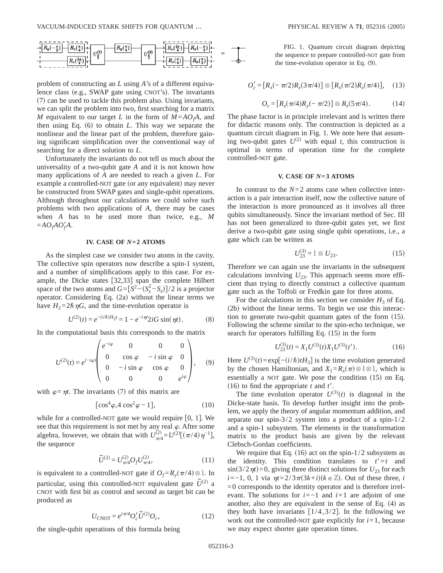

problem of constructing an *L* using *A*'s of a different equivalence class (e.g., SWAP gate using CNOT's). The invariants  $(7)$  can be used to tackle this problem also. Using invariants, we can split the problem into two, first searching for a matrix *M* equivalent to our target *L* in the form of  $M = AO<sub>f</sub>A$ , and then using Eq.  $(6)$  to obtain *L*. This way we separate the nonlinear and the linear part of the problem, therefore gaining significant simplification over the conventional way of searching for a direct solution to *L*.

Unfortunately the invariants do not tell us much about the universality of a two-qubit gate *A* and it is not known how many applications of *A* are needed to reach a given *L*. For example a controlled-NOT gate (or any equivalent) may never be constructed from SWAP gates and single-qubit operations. Although throughout our calculations we could solve such problems with two applications of *A*, there may be cases when *A* has to be used more than twice, e.g., *M*  $=A O_f A O'_f A$ .

## **IV. CASE OF** *N***=2 ATOMS**

As the simplest case we consider two atoms in the cavity. The collective spin operators now describe a spin-1 system, and a number of simplifications apply to this case. For example, the Dicke states  $[32,33]$  span the complete Hilbert space of the two atoms and  $G = [S^2 - (S_z^2 - S_z)]/2$  is a projector operator. Considering Eq.  $(2a)$  without the linear terms we have  $H_2 = 2\hbar \eta G$ , and the time-evolution operator is

$$
U^{(2)}(t) = e^{-(i/\hbar)H_2 t} = 1 - e^{-i\eta t} 2iG \sin(\eta t).
$$
 (8)

In the computational basis this corresponds to the matrix

$$
U^{(2)}(t) = e^{(-i\varphi)} \begin{pmatrix} e^{-i\varphi} & 0 & 0 & 0 \\ 0 & \cos \varphi & -i \sin \varphi & 0 \\ 0 & -i \sin \varphi & \cos \varphi & 0 \\ 0 & 0 & 0 & e^{i\varphi} \end{pmatrix}, \quad (9)
$$

with  $\varphi = \eta t$ . The invariants (7) of this matrix are

$$
[\cos^4 \varphi, 4 \cos^2 \varphi - 1], \tag{10}
$$

while for a controlled-NOT gate we would require  $[0, 1]$ . We see that this requirement is not met by any real  $\varphi$ . After some algebra, however, we obtain that with  $U_{\pi/4}^{(2)} = U^{(2)}[(\pi/4)\eta^{-1}]$ , the sequence

$$
\widetilde{U}^{(2)} = U_{\pi/4}^{(2)} O_f U_{\pi/4}^{(2)},\tag{11}
$$

is equivalent to a controlled-NOT gate if  $O_f = R_y(\pi/4) \otimes 1$ . In particular, using this controlled-NOT equivalent gate  $U^{(2)}$  a CNOT with first bit as control and second as target bit can be produced as

$$
U_{\text{CNOT}} = e^{i\pi/4} O_c' \tilde{U}^{(2)} O_c,\tag{12}
$$

the single-qubit operations of this formula being

FIG. 1. Quantum circuit diagram depicting the sequence to prepare controlled-NOT gate from the time-evolution operator in Eq.  $(9)$ .

$$
O'_{c} = [R_{x}(-\pi/2)R_{z}(3\pi/4)] \otimes [R_{x}(\pi/2)R_{z}(\pi/4)], \quad (13)
$$

$$
O_c = [R_z(\pi/4)R_y(-\pi/2)] \otimes R_z(5\pi/4). \tag{14}
$$

The phase factor is in principle irrelevant and is written there for didactic reasons only. The construction is depicted as a quantum circuit diagram in Fig. 1. We note here that assuming two-qubit gates  $U^{(2)}$  with equal *t*, this construction is optimal in terms of operation time for the complete controlled-NOT gate.

## **V. CASE OF** *N***=3 ATOMS**

In contrast to the  $N=2$  atoms case when collective interaction is a pair interaction itself, now the collective nature of the interaction is more pronounced as it involves all three qubits simultaneously. Since the invariant method of Sec. III has not been generalized to three-qubit gates yet, we first derive a two-qubit gate using single qubit operations, i.e., a gate which can be written as

$$
U_{23}^{(3)} = 1 \otimes U_{23}.\tag{15}
$$

Therefore we can again use the invariants in the subsequent calculations involving  $U_{23}$ . This approach seems more efficient than trying to directly construct a collective quantum gate such as the Toffoli or Fredkin gate for three atoms.

For the calculations in this section we consider  $H_3$  of Eq.  $(2b)$  without the linear terms. To begin we use this interaction to generate two-qubit quantum gates of the form  $(15)$ . Following the scheme similar to the spin-echo technique, we search for operators fulfilling Eq.  $(15)$  in the form

$$
U_{23}^{(3)}(t) = X_1 U^{(3)}(t) X_1 U^{(3)}(t').
$$
 (16)

Here  $U^{(3)}(t) = \exp[-(i/\hbar)tH_3]$  is the time evolution generated by the chosen Hamiltonian, and  $X_1 = R_x(\pi) \otimes \mathbb{1} \otimes \mathbb{1}$ , which is essentially a NOT gate. We pose the condition  $(15)$  on Eq. (16) to find the appropriate  $t$  and  $t'$ .

The time evolution operator  $U^{(3)}(t)$  is diagonal in the Dicke-state basis. To develop further insight into the problem, we apply the theory of angular momentum addition, and separate our spin-3/2 system into a product of a spin-1/2 and a spin-1 subsystem. The elements in the transformation matrix to the product basis are given by the relevant Clebsch-Gordan coefficients.

We require that Eq.  $(16)$  act on the spin-1/2 subsystem as the identity. This condition translates to  $t' = t$  and  $\sin(3/2\eta t)=0$ , giving three distinct solutions for  $U_{23}$  for each  $i=-1, 0, 1$  via  $\eta t=2/3\pi(3k+i)(k \in \mathbb{Z})$ . Out of these three, *i*  $=0$  corresponds to the identity operator and is therefore irrelevant. The solutions for *i*=−1 and *i*=1 are adjoint of one another, also they are equivalent in the sense of Eq.  $(4)$  as they both have invariants  $[1/4,3/2]$ . In the following we work out the controlled-NOT gate explicitly for  $i=1$ , because we may expect shorter gate operation times.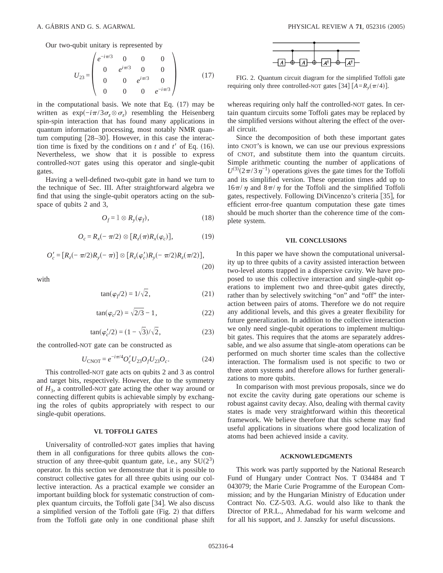Our two-qubit unitary is represented by

$$
U_{23} = \begin{pmatrix} e^{-i\pi/3} & 0 & 0 & 0 \ 0 & e^{i\pi/3} & 0 & 0 \ 0 & 0 & e^{i\pi/3} & 0 \ 0 & 0 & 0 & e^{-i\pi/3} \end{pmatrix}
$$
 (17)

in the computational basis. We note that Eq.  $(17)$  may be written as  $\exp(-i\pi/3\sigma_z \otimes \sigma_z)$  resembling the Heisenberg spin-spin interaction that has found many applications in quantum information processing, most notably NMR quantum computing  $[28-30]$ . However, in this case the interaction time is fixed by the conditions on  $t$  and  $t'$  of Eq. (16). Nevertheless, we show that it is possible to express controlled-NOT gates using this operator and single-qubit gates.

Having a well-defined two-qubit gate in hand we turn to the technique of Sec. III. After straightforward algebra we find that using the single-qubit operators acting on the subspace of qubits 2 and 3,

$$
O_f = 1 \otimes R_y(\varphi_f), \qquad (18)
$$

$$
O_c = R_x(-\pi/2) \otimes [R_z(\pi)R_x(\varphi_c)], \qquad (19)
$$

$$
O_c' = [R_z(-\pi/2)R_y(-\pi)] \otimes [R_z(\varphi_c')R_y(-\pi/2)R_z(\pi/2)],
$$
\n(20)

with

$$
\tan(\varphi_f/2) = 1/\sqrt{2},\tag{21}
$$

$$
\tan(\varphi_c/2) = \sqrt{2/3} - 1,\tag{22}
$$

$$
\tan(\varphi_c'/2) = (1 - \sqrt{3})/\sqrt{2},\tag{23}
$$

the controlled-NOT gate can be constructed as

$$
U_{\text{CNOT}} = e^{-i\pi/4} O_c' U_{23} O_f U_{23} O_c. \tag{24}
$$

This controlled-NOT gate acts on qubits 2 and 3 as control and target bits, respectively. However, due to the symmetry of *H*3, a controlled-NOT gate acting the other way around or connecting different qubits is achievable simply by exchanging the roles of qubits appropriately with respect to our single-qubit operations.

## **VI. TOFFOLI GATES**

Universality of controlled-NOT gates implies that having them in all configurations for three qubits allows the construction of any three-qubit quantum gate, i.e., any  $SU(2^3)$ operator. In this section we demonstrate that it is possible to construct collective gates for all three qubits using our collective interaction. As a practical example we consider an important building block for systematic construction of complex quantum circuits, the Toffoli gate  $[34]$ . We also discuss a simplified version of the Toffoli gate  $(Fig. 2)$  that differs from the Toffoli gate only in one conditional phase shift



FIG. 2. Quantum circuit diagram for the simplified Toffoli gate requiring only three controlled-NOT gates [34]  $[A = R_v(\pi/4)].$ 

whereas requiring only half the controlled-NOT gates. In certain quantum circuits some Toffoli gates may be replaced by the simplified versions without altering the effect of the overall circuit.

Since the decomposition of both these important gates into CNOT's is known, we can use our previous expressions of CNOT, and substitute them into the quantum circuits. Simple arithmetic counting the number of applications of  $U^{(3)}(2\pi/3\eta^{-1})$  operations gives the gate times for the Toffoli and its simplified version. These operation times add up to  $16\pi/\eta$  and  $8\pi/\eta$  for the Toffoli and the simplified Toffoli gates, respectively. Following DiVincenzo's criteria [35], for efficient error-free quantum computation these gate times should be much shorter than the coherence time of the complete system.

### **VII. CONCLUSIONS**

In this paper we have shown the computational universality up to three qubits of a cavity assisted interaction between two-level atoms trapped in a dispersive cavity. We have proposed to use this collective interaction and single-qubit operations to implement two and three-qubit gates directly, rather than by selectively switching "on" and "off" the interaction between pairs of atoms. Therefore we do not require any additional levels, and this gives a greater flexibility for future generalization. In addition to the collective interaction we only need single-qubit operations to implement multiqubit gates. This requires that the atoms are separately addressable, and we also assume that single-atom operations can be performed on much shorter time scales than the collective interaction. The formalism used is not specific to two or three atom systems and therefore allows for further generalizations to more qubits.

In comparison with most previous proposals, since we do not excite the cavity during gate operations our scheme is robust against cavity decay. Also, dealing with thermal cavity states is made very straightforward within this theoretical framework. We believe therefore that this scheme may find useful applications in situations where good localization of atoms had been achieved inside a cavity.

### **ACKNOWLEDGMENTS**

This work was partly supported by the National Research Fund of Hungary under Contract Nos. T 034484 and T 043079; the Marie Curie Programme of the European Commission; and by the Hungarian Ministry of Education under Contract No. CZ-5/03. A.G. would also like to thank the Director of P.R.L., Ahmedabad for his warm welcome and for all his support, and J. Janszky for useful discussions.